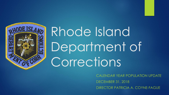

# Rhode Island Department of Corrections

CALENDAR YEAR POPULATION UPDATE DECEMBER 31, 2018 DIRECTOR PATRICIA A. COYNE-FAGUE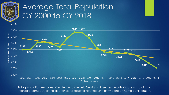

# Average Total Population CY 2000 to CY 2018



Calendar Year

Total population excludes offenders who are held/serving a RI sentence out-of-state according to interstate compact, at the Eleanor Slater Hospital Forensic Unit, or who are on home confinement.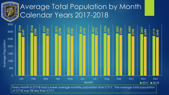

# Average Total Population by Month Calendar Years 2017-2018



Every month in CY18 had a lower average monthly population than CY17. The average total population of CY18 was 5% less than CY17.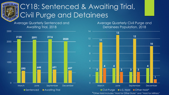

# CY18: Sentenced & Awaiting Trial, Civil Purge and Detainees

Average Quarterly Sentenced and Awaiting Trial, 2018



Average Quarterly Civil Purge and Detainees Population, 2018



\*Other Hold includes "Hold for Other State" and "Hold for Military"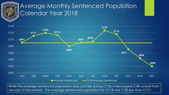

#### Average Monthly Sentenced Population Calendar Year 2018



While the average sentenced population rose and fell during CY18, it decreased 3.4% overall from January to December. The average sentenced population for CY18 was 7.1% less than CY17.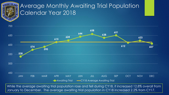

#### Average Monthly Awaiting Trial Population Calendar Year 2018



While the average awaiting trial population rose and fell during CY18, it increased 12.8% overall from January to December. The average awaiting trial population in CY18 increased 2.2% from CY17.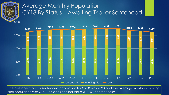

#### Average Monthly Population CY18 By Status – Awaiting Trial or Sentenced



The average monthly sentenced population for CY18 was 2090 and the average monthly awaiting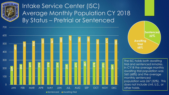

## Intake Service Center (ISC) Average Monthly Population CY 2018 By Status – Pretrial or Sentenced



**Awaiting Trial 68% Sentenced %**

The ISC holds both awaiting trial and sentenced inmates. In CY18 the average monthly awaiting trial population was 560 (68%) and the average monthly sentenced population was 267 (32%). This does not include civil, U.S., or other holds.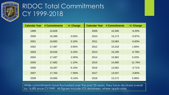

# RIDOC Total Commitments CY 1999-2018

| <b>Calendar Year</b> | # Commitments | +/- Change | <b>Calendar Year</b> | # Commitments | +/- Change |
|----------------------|---------------|------------|----------------------|---------------|------------|
| 1999                 | 15,828        |            | 2009                 | 15,306        | $-9.20%$   |
| 2000                 | 16,389        | 3.50%      | 2010                 | 15,173        | $-0.87%$   |
| 2001                 | 16,892        | 3.10%      | 2011                 | 15,084        | $-0.60%$   |
| 2002                 | 17,487        | 3.50%      | 2012                 | 15,318        | 1.60%      |
| 2003                 | 18,026        | 3.10%      | 2013                 | 15,199        | $-0.78%$   |
| 2004                 | 17,497        | $-2.90%$   | 2014                 | 15,962        | 5.02%      |
| 2005                 | 17,682        | 1.10%      | 2015                 | 14,085        | $-11.76%$  |
| 2006                 | 19,287        | 9.10%      | 2016                 | 13,562        | $-3.71%$   |
| 2007                 | 17,764        | $-7.90\%$  | 2017                 | 13,047        | $-3.80%$   |
| 2008                 | 16,865        | $-5.10%$   | 2018                 | 13,172        | 0.96%      |

While commitments have fluctuated over the past 20 years, they have declined overall by 16.8% since CY1999. All figures include ICE detainees, where applicable.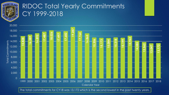

# RIDOC Total Yearly Commitments CY 1999-2018

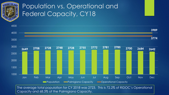

# Population vs. Operational and Federal Capacity, CY18



The average total population for CY 2018 was 2723. This is 72.2% of RIDOC's Operational Capacity and 68.3% of the Palmigiano Capacity.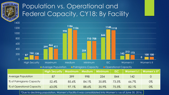

# Population vs. Operational and Federal Capacity, CY18: By Facility



\*Due to declining population, Women's Facility II was consolidated into Women's I as of June 30, 2016.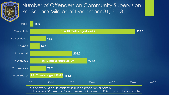

#### Number of Offenders on Community Supervision Per Square Mile as of December 31, 2018

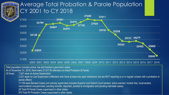#### Average Total Probation & Parole Population CY 2001 to CY 2018



2001 2002 2003 2004 2005 2006 2007 2008 2009 2010 2011 2012 2013 2014 2015 2016 2017 2018

Total population includes active, low and banked supervision cases. As of December 31, 2018, there were 21,517 RI offenders on Adult Probation & Parole. Of those: 7,547 were on Active Supervision 2,231 were on Low Supervision (offenders who have at least one open indictment, but are NOT reporting to or in regular contact with a probation or parole officer) 11,739 were Banked Cases (not actively supervised includes Superior and District Court banked, active warrant, trouble free, incarcerated, court-ordered unsupervised, pending transfer, deported, paroled to immigration and pending interstate cases) 28 Total RI Parole Cases supervised in other states 879 Total RI Probation Cases supervised in other states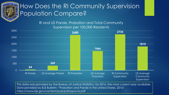

## How Does the RI Community Supervision Population Compare?

RI and US Parole, Probation and Total Community Supervision per 100,000 Residents



This data was provided by the Bureau of Justice Statistics, for 2016, the most current year available. Data provided by BJS Bulletin: "Probation and Parole in the United States, 2016". https://www.bjs.gov/content/pub/pdf/ppus16.pdf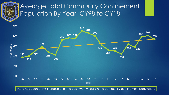

## Average Total Community Confinement Population By Year: CY98 to CY18



There has been a 47% increase over the past twenty years in the community confinement population.